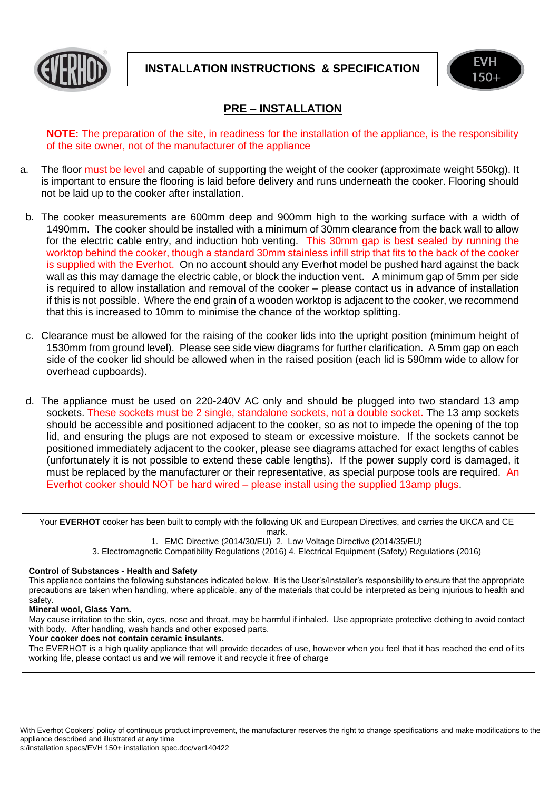



## **PRE – INSTALLATION**

**NOTE:** The preparation of the site, in readiness for the installation of the appliance, is the responsibility of the site owner, not of the manufacturer of the appliance

- a. The floor must be level and capable of supporting the weight of the cooker (approximate weight 550kg). It is important to ensure the flooring is laid before delivery and runs underneath the cooker. Flooring should not be laid up to the cooker after installation.
- b. The cooker measurements are 600mm deep and 900mm high to the working surface with a width of 1490mm. The cooker should be installed with a minimum of 30mm clearance from the back wall to allow for the electric cable entry, and induction hob venting. This 30mm gap is best sealed by running the worktop behind the cooker, though a standard 30mm stainless infill strip that fits to the back of the cooker is supplied with the Everhot. On no account should any Everhot model be pushed hard against the back wall as this may damage the electric cable, or block the induction vent. A minimum gap of 5mm per side is required to allow installation and removal of the cooker – please contact us in advance of installation if this is not possible. Where the end grain of a wooden worktop is adjacent to the cooker, we recommend that this is increased to 10mm to minimise the chance of the worktop splitting.
- c. Clearance must be allowed for the raising of the cooker lids into the upright position (minimum height of 1530mm from ground level). Please see side view diagrams for further clarification. A 5mm gap on each side of the cooker lid should be allowed when in the raised position (each lid is 590mm wide to allow for overhead cupboards).
- d. The appliance must be used on 220-240V AC only and should be plugged into two standard 13 amp sockets. These sockets must be 2 single, standalone sockets, not a double socket. The 13 amp sockets should be accessible and positioned adjacent to the cooker, so as not to impede the opening of the top lid, and ensuring the plugs are not exposed to steam or excessive moisture. If the sockets cannot be positioned immediately adjacent to the cooker, please see diagrams attached for exact lengths of cables (unfortunately it is not possible to extend these cable lengths). If the power supply cord is damaged, it must be replaced by the manufacturer or their representative, as special purpose tools are required. An Everhot cooker should NOT be hard wired – please install using the supplied 13amp plugs.

Your **EVERHOT** cooker has been built to comply with the following UK and European Directives, and carries the UKCA and CE mark.

1. EMC Directive (2014/30/EU) 2. Low Voltage Directive (2014/35/EU)

3. Electromagnetic Compatibility Regulations (2016) 4. Electrical Equipment (Safety) Regulations (2016)

## **Control of Substances - Health and Safety**

This appliance contains the following substances indicated below. It is the User's/Installer's responsibility to ensure that the appropriate precautions are taken when handling, where applicable, any of the materials that could be interpreted as being injurious to health and safety.

**Mineral wool, Glass Yarn.**

May cause irritation to the skin, eyes, nose and throat, may be harmful if inhaled. Use appropriate protective clothing to avoid contact with body. After handling, wash hands and other exposed parts.

**Your cooker does not contain ceramic insulants.** 

The EVERHOT is a high quality appliance that will provide decades of use, however when you feel that it has reached the end of its working life, please contact us and we will remove it and recycle it free of charge